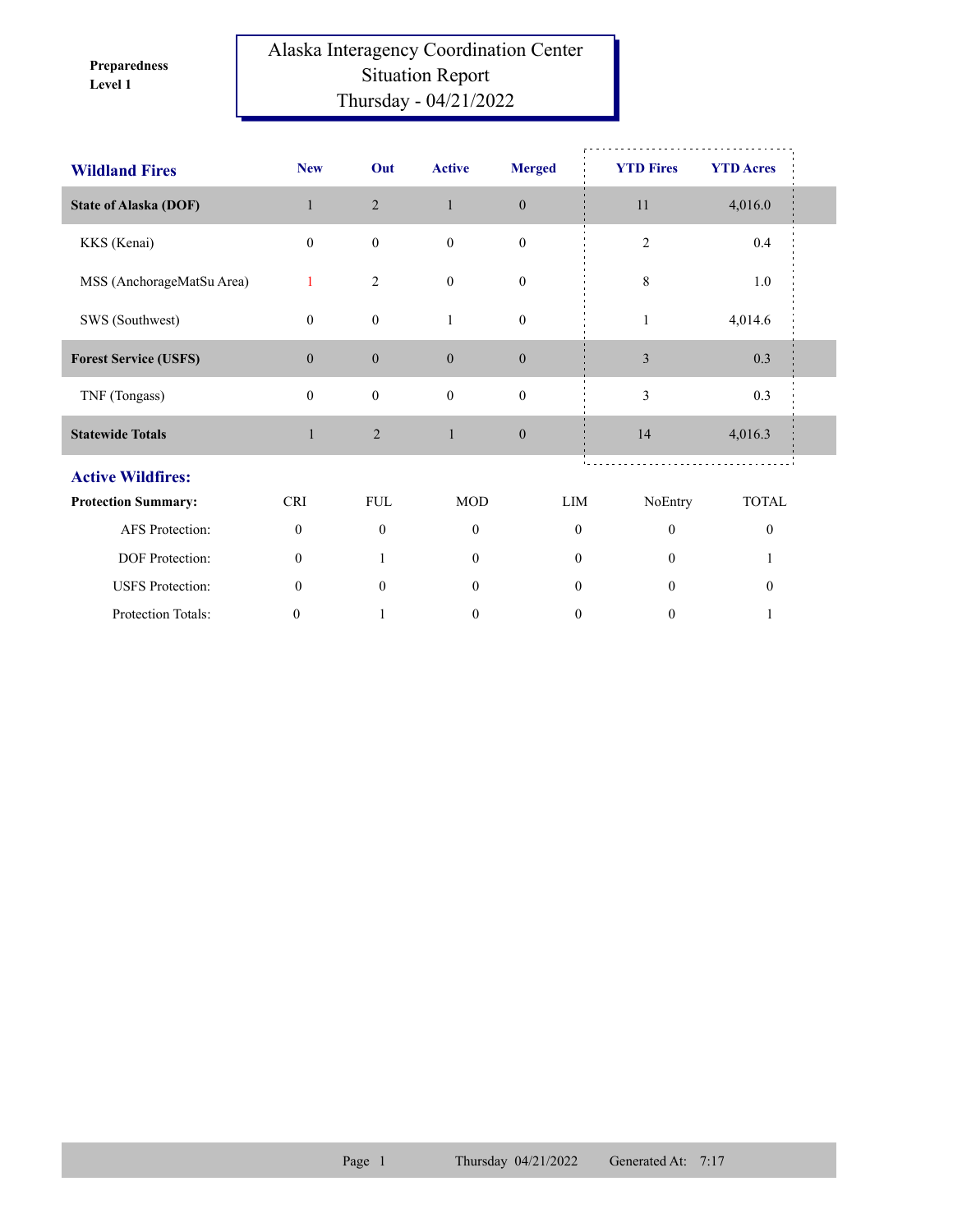**Level 1 Preparedness** 

## Alaska Interagency Coordination Center Situation Report Thursday - 04/21/2022

| <b>Wildland Fires</b>        | <b>New</b>   | Out              | <b>Active</b>    | <b>Merged</b>    | <b>YTD Fires</b> | <b>YTD Acres</b> |  |
|------------------------------|--------------|------------------|------------------|------------------|------------------|------------------|--|
| <b>State of Alaska (DOF)</b> | $\mathbf{1}$ | 2                | $\mathbf{1}$     | $\mathbf{0}$     | 11               | 4,016.0          |  |
| KKS (Kenai)                  | $\mathbf{0}$ | $\boldsymbol{0}$ | $\mathbf{0}$     | $\boldsymbol{0}$ | $\overline{2}$   | 0.4              |  |
| MSS (AnchorageMatSu Area)    | $\mathbf{1}$ | $\overline{2}$   | $\mathbf{0}$     | $\boldsymbol{0}$ | 8                | 1.0              |  |
| SWS (Southwest)              | $\mathbf{0}$ | $\mathbf{0}$     | $\mathbf{1}$     | $\boldsymbol{0}$ | 1                | 4,014.6          |  |
| <b>Forest Service (USFS)</b> | $\mathbf{0}$ | $\boldsymbol{0}$ | $\mathbf{0}$     | $\mathbf{0}$     | $\mathfrak{Z}$   | 0.3              |  |
| TNF (Tongass)                | $\mathbf{0}$ | $\boldsymbol{0}$ | $\mathbf{0}$     | $\boldsymbol{0}$ | 3                | 0.3              |  |
| <b>Statewide Totals</b>      | $\mathbf{1}$ | $\mathbf{2}$     | $\mathbf{1}$     | $\mathbf{0}$     | 14               | 4,016.3          |  |
| <b>Active Wildfires:</b>     |              |                  |                  |                  |                  |                  |  |
| <b>Protection Summary:</b>   | <b>CRI</b>   | <b>FUL</b>       | <b>MOD</b>       | LIM              | NoEntry          | <b>TOTAL</b>     |  |
| AFS Protection:              | $\mathbf{0}$ | $\mathbf{0}$     | $\mathbf{0}$     | $\mathbf{0}$     | $\theta$         | $\mathbf{0}$     |  |
| DOF Protection:              | $\mathbf{0}$ |                  | $\theta$         | $\theta$         | $\Omega$         |                  |  |
| <b>USFS</b> Protection:      | $\mathbf{0}$ | $\mathbf{0}$     | $\overline{0}$   | $\overline{0}$   | $\theta$         | $\boldsymbol{0}$ |  |
| Protection Totals:           | 0            |                  | $\boldsymbol{0}$ | $\boldsymbol{0}$ | $\boldsymbol{0}$ |                  |  |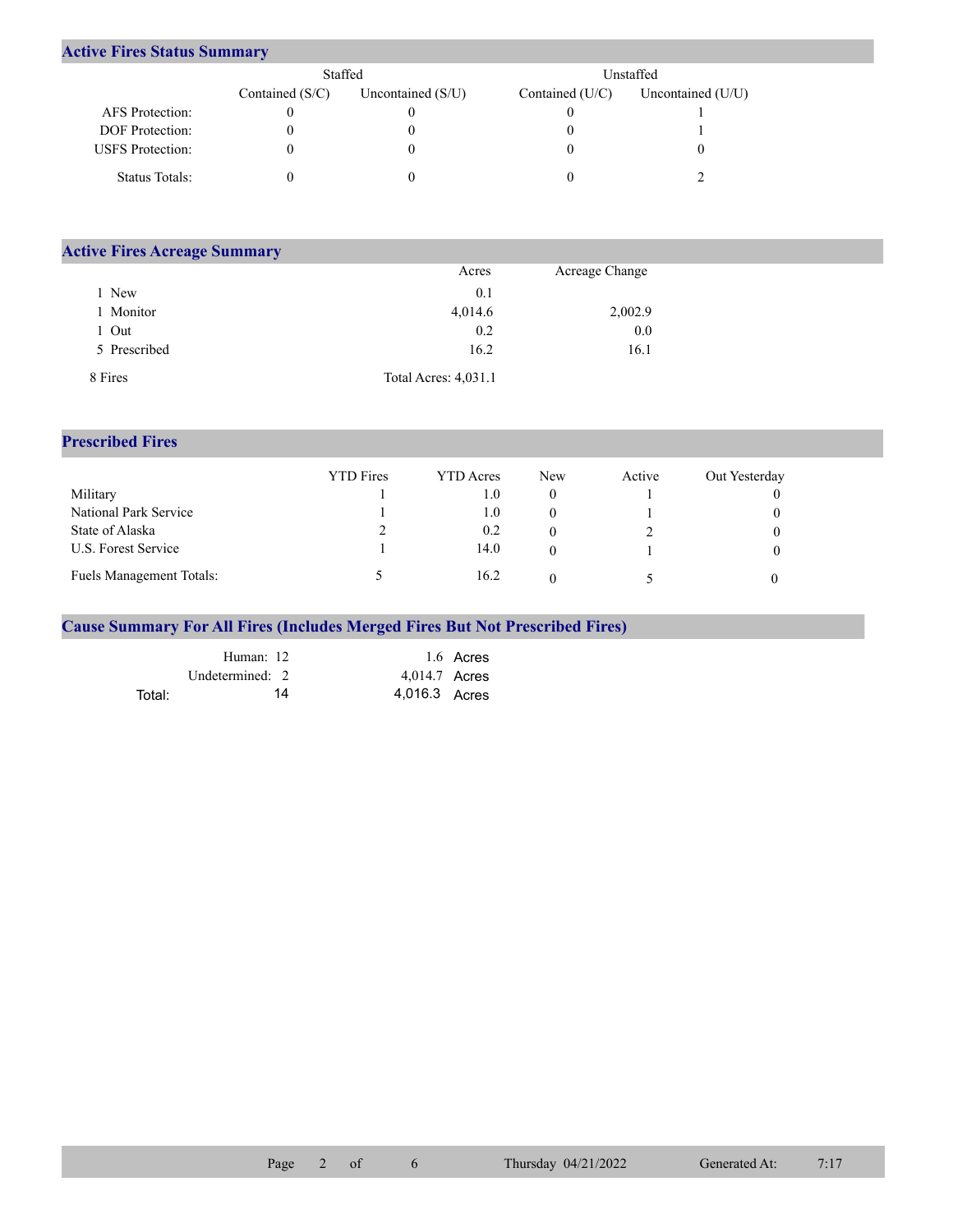## **Active Fires Status Summary**

|                         | Staffed           |                     | Unstaffed       |                     |  |  |
|-------------------------|-------------------|---------------------|-----------------|---------------------|--|--|
|                         | Contained $(S/C)$ | Uncontained $(S/U)$ | Contained (U/C) | Uncontained $(U/U)$ |  |  |
| AFS Protection:         |                   |                     |                 |                     |  |  |
| <b>DOF</b> Protection:  |                   |                     |                 |                     |  |  |
| <b>USFS</b> Protection: |                   |                     |                 |                     |  |  |
| Status Totals:          |                   |                     |                 |                     |  |  |

| <b>Active Fires Acreage Summary</b> |                      |                |  |
|-------------------------------------|----------------------|----------------|--|
|                                     | Acres                | Acreage Change |  |
| New                                 | 0.1                  |                |  |
| Monitor                             | 4,014.6              | 2,002.9        |  |
| Out                                 | 0.2                  | 0.0            |  |
| 5 Prescribed                        | 16.2                 | 16.1           |  |
| 8 Fires                             | Total Acres: 4,031.1 |                |  |

## **Prescribed Fires**

|                                 | <b>YTD</b> Fires | <b>YTD</b> Acres | <b>New</b> | Active | Out Yesterday |
|---------------------------------|------------------|------------------|------------|--------|---------------|
| Military                        |                  | t.O              |            |        |               |
| National Park Service           |                  | $1.0\,$          |            |        |               |
| State of Alaska                 |                  | 0.2              |            |        |               |
| U.S. Forest Service             |                  | 14.0             |            |        |               |
| <b>Fuels Management Totals:</b> |                  | 16.2             |            |        |               |

## **Cause Summary For All Fires (Includes Merged Fires But Not Prescribed Fires)**

|        | Human: 12         | 1.6 Acres     |
|--------|-------------------|---------------|
|        | Undetermined: $2$ | 4,014.7 Acres |
| Total: | 14                | 4,016.3 Acres |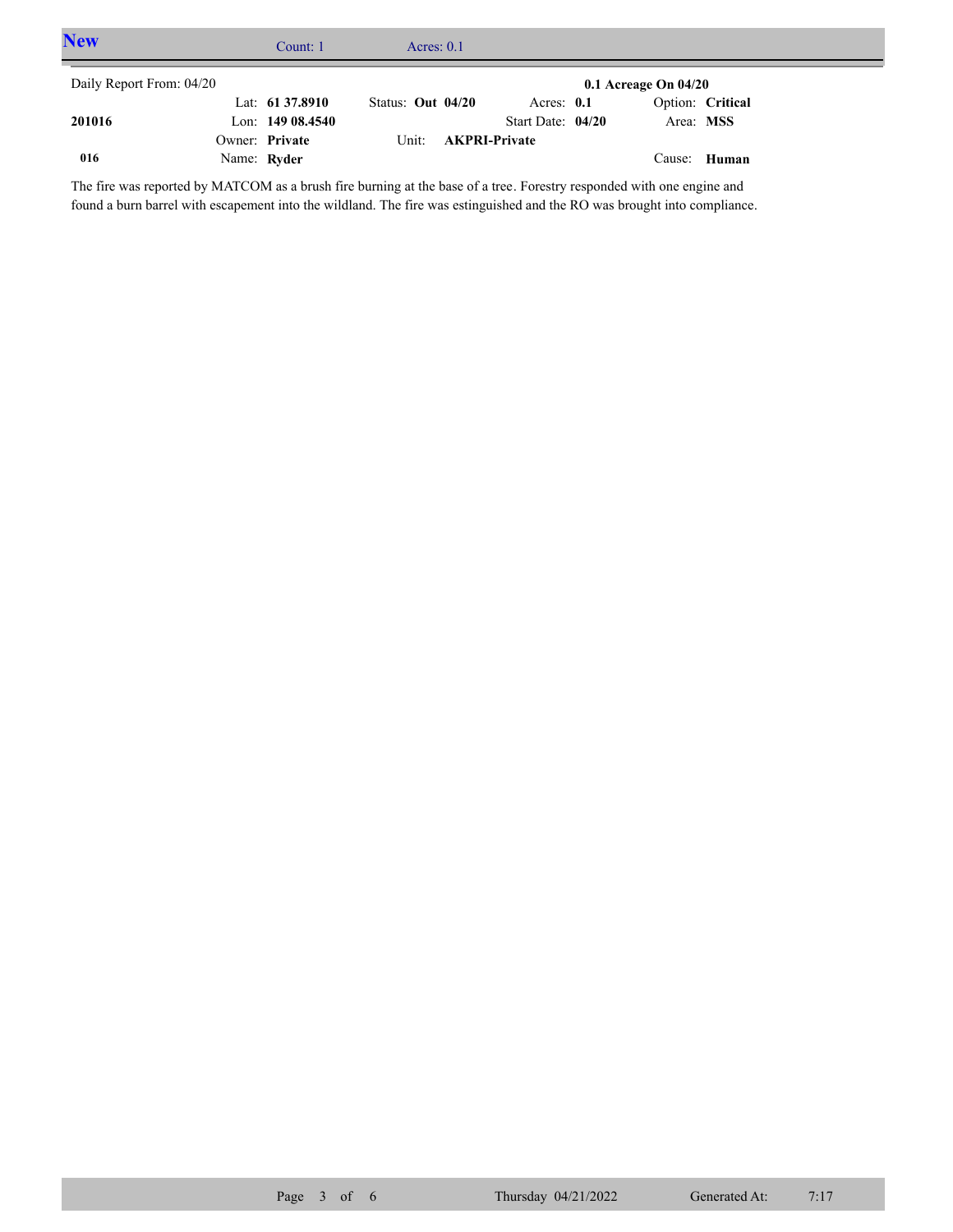| <b>New</b>               | Count: 1          | Acres: $0.1$      |                            |                          |                  |  |
|--------------------------|-------------------|-------------------|----------------------------|--------------------------|------------------|--|
| Daily Report From: 04/20 |                   |                   |                            | $0.1$ Acreage On $04/20$ |                  |  |
|                          | Lat: 61 37.8910   | Status: Out 04/20 | Acres: $0.1$               |                          | Option: Critical |  |
| 201016                   | Lon: $14908.4540$ |                   | Start Date: $04/20$        | Area: MSS                |                  |  |
|                          | Owner: Private    |                   | Unit: <b>AKPRI-Private</b> |                          |                  |  |
| 016                      | Name: Ryder       |                   |                            |                          | Cause: Human     |  |

The fire was reported by MATCOM as a brush fire burning at the base of a tree. Forestry responded with one engine and found a burn barrel with escapement into the wildland. The fire was estinguished and the RO was brought into compliance.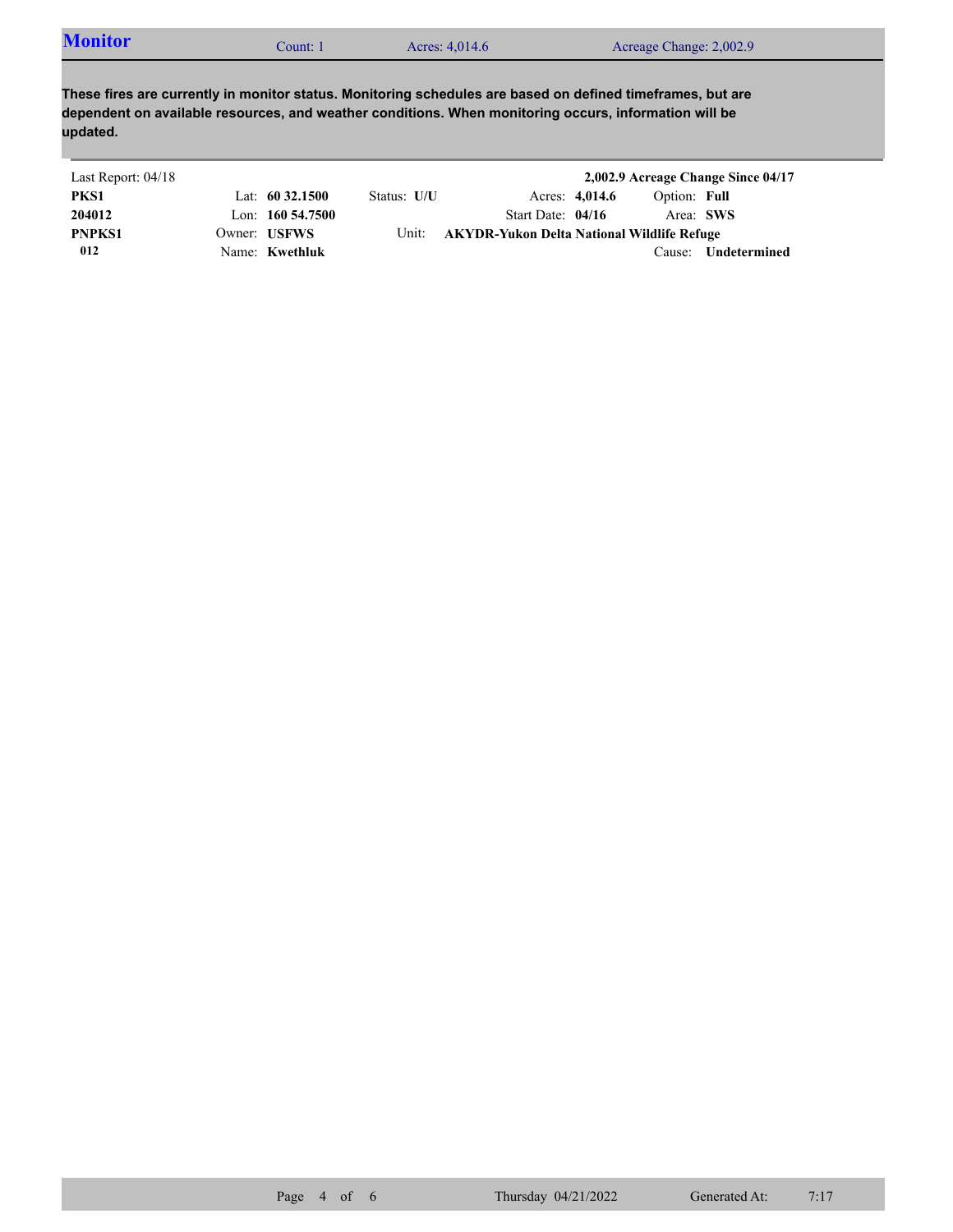|  | <b>Monitor</b><br>. :Ount | Acres: 4,014.6 | Acreage Change: 2,002.9 |  |
|--|---------------------------|----------------|-------------------------|--|
|--|---------------------------|----------------|-------------------------|--|

**These fires are currently in monitor status. Monitoring schedules are based on defined timeframes, but are dependent on available resources, and weather conditions. When monitoring occurs, information will be updated.**

| Last Report: 04/18 |                     |             |                                            |                |              | 2,002.9 Acreage Change Since 04/17 |
|--------------------|---------------------|-------------|--------------------------------------------|----------------|--------------|------------------------------------|
| PKS1               | Lat: $60\,32.1500$  | Status: U/U |                                            | Acres: 4,014.6 | Option: Full |                                    |
| 204012             | Lon: $160\,54.7500$ |             | Start Date: $04/16$                        |                |              | Area: SWS                          |
| <b>PNPKS1</b>      | Owner: USFWS        | Unit:       | AKYDR-Yukon Delta National Wildlife Refuge |                |              |                                    |
| 012                | Name: Kwethluk      |             |                                            |                | Cause:       | Undetermined                       |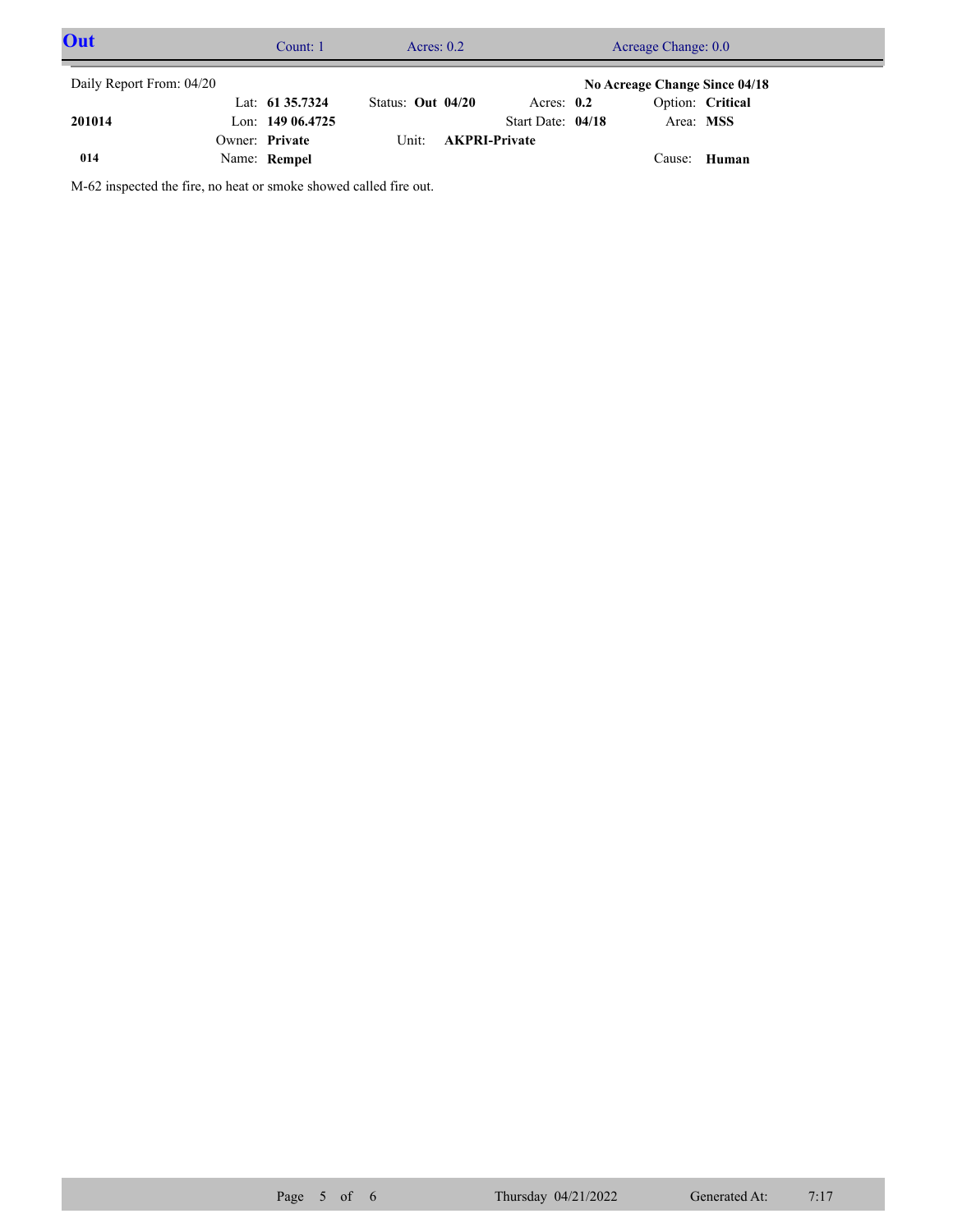| Out                      | Count: 1          | Acres: $0.2$      |                      |                   | Acreage Change: 0.0           |                  |  |
|--------------------------|-------------------|-------------------|----------------------|-------------------|-------------------------------|------------------|--|
| Daily Report From: 04/20 |                   |                   |                      |                   | No Acreage Change Since 04/18 |                  |  |
|                          | Lat: 61 35.7324   | Status: Out 04/20 |                      | Acres: $0.2$      |                               | Option: Critical |  |
| 201014                   | Lon: $14906.4725$ |                   |                      | Start Date: 04/18 | Area: MSS                     |                  |  |
|                          | Owner: Private    | Unit:             | <b>AKPRI-Private</b> |                   |                               |                  |  |
| 014                      | Name: Rempel      |                   |                      |                   | Cause: Human                  |                  |  |

M-62 inspected the fire, no heat or smoke showed called fire out.